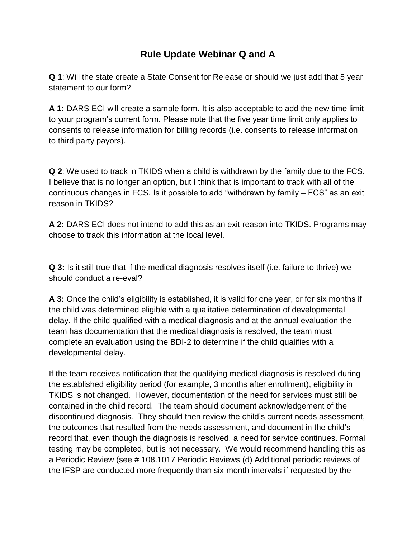## **Rule Update Webinar Q and A**

**Q 1**: Will the state create a State Consent for Release or should we just add that 5 year statement to our form?

**A 1:** DARS ECI will create a sample form. It is also acceptable to add the new time limit to your program's current form. Please note that the five year time limit only applies to consents to release information for billing records (i.e. consents to release information to third party payors).

**Q 2**: We used to track in TKIDS when a child is withdrawn by the family due to the FCS. I believe that is no longer an option, but I think that is important to track with all of the continuous changes in FCS. Is it possible to add "withdrawn by family – FCS" as an exit reason in TKIDS?

**A 2:** DARS ECI does not intend to add this as an exit reason into TKIDS. Programs may choose to track this information at the local level.

**Q 3:** Is it still true that if the medical diagnosis resolves itself (i.e. failure to thrive) we should conduct a re-eval?

**A 3:** Once the child's eligibility is established, it is valid for one year, or for six months if the child was determined eligible with a qualitative determination of developmental delay. If the child qualified with a medical diagnosis and at the annual evaluation the team has documentation that the medical diagnosis is resolved, the team must complete an evaluation using the BDI-2 to determine if the child qualifies with a developmental delay.

If the team receives notification that the qualifying medical diagnosis is resolved during the established eligibility period (for example, 3 months after enrollment), eligibility in TKIDS is not changed. However, documentation of the need for services must still be contained in the child record. The team should document acknowledgement of the discontinued diagnosis. They should then review the child's current needs assessment, the outcomes that resulted from the needs assessment, and document in the child's record that, even though the diagnosis is resolved, a need for service continues. Formal testing may be completed, but is not necessary. We would recommend handling this as a Periodic Review (see # 108.1017 Periodic Reviews (d) Additional periodic reviews of the IFSP are conducted more frequently than six-month intervals if requested by the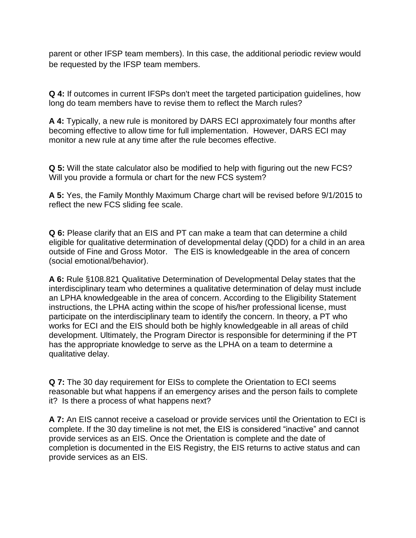parent or other IFSP team members). In this case, the additional periodic review would be requested by the IFSP team members.

**Q 4:** If outcomes in current IFSPs don't meet the targeted participation guidelines, how long do team members have to revise them to reflect the March rules?

**A 4:** Typically, a new rule is monitored by DARS ECI approximately four months after becoming effective to allow time for full implementation. However, DARS ECI may monitor a new rule at any time after the rule becomes effective.

**Q 5:** Will the state calculator also be modified to help with figuring out the new FCS? Will you provide a formula or chart for the new FCS system?

**A 5:** Yes, the Family Monthly Maximum Charge chart will be revised before 9/1/2015 to reflect the new FCS sliding fee scale.

**Q 6:** Please clarify that an EIS and PT can make a team that can determine a child eligible for qualitative determination of developmental delay (QDD) for a child in an area outside of Fine and Gross Motor. The EIS is knowledgeable in the area of concern (social emotional/behavior).

**A 6:** Rule §108.821 Qualitative Determination of Developmental Delay states that the interdisciplinary team who determines a qualitative determination of delay must include an LPHA knowledgeable in the area of concern. According to the Eligibility Statement instructions, the LPHA acting within the scope of his/her professional license, must participate on the interdisciplinary team to identify the concern. In theory, a PT who works for ECI and the EIS should both be highly knowledgeable in all areas of child development. Ultimately, the Program Director is responsible for determining if the PT has the appropriate knowledge to serve as the LPHA on a team to determine a qualitative delay.

**Q 7:** The 30 day requirement for EISs to complete the Orientation to ECI seems reasonable but what happens if an emergency arises and the person fails to complete it? Is there a process of what happens next?

**A 7:** An EIS cannot receive a caseload or provide services until the Orientation to ECI is complete. If the 30 day timeline is not met, the EIS is considered "inactive" and cannot provide services as an EIS. Once the Orientation is complete and the date of completion is documented in the EIS Registry, the EIS returns to active status and can provide services as an EIS.